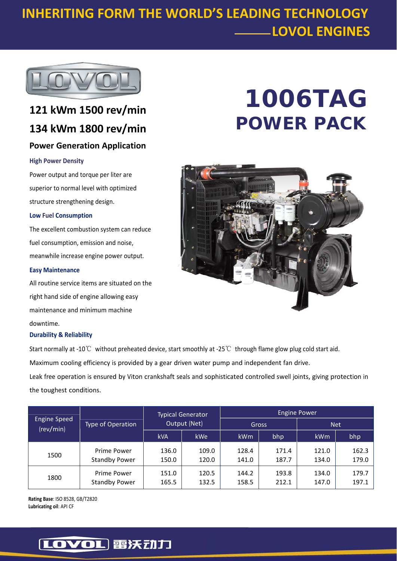## **INHERITING FORM THE WORLD'S LEADING TECHNOLOGY LOVOL ENGINES**



### **121 kWm 1500 rev/min 134 kWm 1800 rev/min Power Generation Application**

#### **High Power Density**

Power output and torque per liter are superior to normal level with optimized structure strengthening design.

#### **Low Fuel Consumption**

The excellent combustion system can reduce fuel consumption, emission and noise, meanwhile increase engine power output.

#### **Easy Maintenance**

All routine service items are situated on the right hand side of engine allowing easy maintenance and minimum machine downtime.

#### **Durability & Reliability**

Start normally at ‐10℃ without preheated device, start smoothly at ‐25℃ through flame glow plug cold start aid.

Maximum cooling efficiency is provided by a gear driven water pump and independent fan drive.

Leak free operation is ensured by Viton crankshaft seals and sophisticated controlled swell joints, giving protection in the toughest conditions.

| <b>Engine Speed</b><br>(rev/min) | Type of Operation                   | <b>Typical Generator</b><br>Output (Net) |                | <b>Engine Power</b> |                |                |                |
|----------------------------------|-------------------------------------|------------------------------------------|----------------|---------------------|----------------|----------------|----------------|
|                                  |                                     |                                          |                | Gross               |                | <b>Net</b>     |                |
|                                  |                                     | <b>kVA</b>                               | <b>kWe</b>     | <b>kWm</b>          | bhp            | kWm            | bhp            |
| 1500                             | Prime Power<br><b>Standby Power</b> | 136.0<br>150.0                           | 109.0<br>120.0 | 128.4<br>141.0      | 171.4<br>187.7 | 121.0<br>134.0 | 162.3<br>179.0 |
| 1800                             | Prime Power<br><b>Standby Power</b> | 151.0<br>165.5                           | 120.5<br>132.5 | 144.2<br>158.5      | 193.8<br>212.1 | 134.0<br>147.0 | 179.7<br>197.1 |

**Rating Base**: ISO 8528, GB/T2820 **Lubricating oil**: API CF

# **1006TAG POWER PACK**



### [LOVOL] 雷沃动力